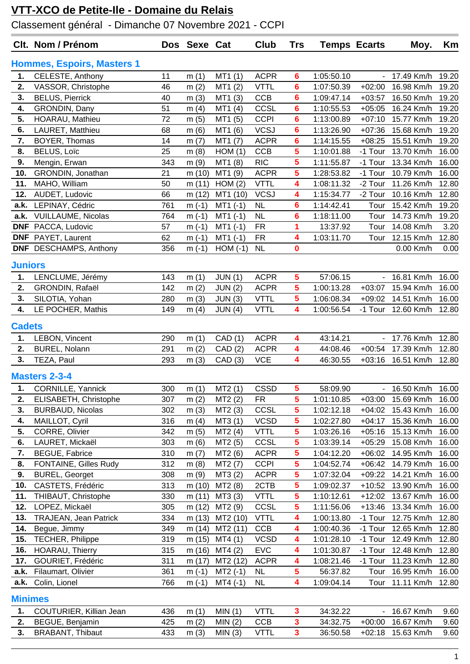## **VTT-XCO de Petite-Ile - Domaine du Relais**

Classement général - Dimanche 07 Novembre 2021 - CCPI

|                                   | Clt. Nom / Prénom             |     | Dos Sexe Cat |            | <b>Club</b> | Trs            | <b>Temps Ecarts</b> |                              | Moy.       | Km    |
|-----------------------------------|-------------------------------|-----|--------------|------------|-------------|----------------|---------------------|------------------------------|------------|-------|
| <b>Hommes, Espoirs, Masters 1</b> |                               |     |              |            |             |                |                     |                              |            |       |
| 1.                                | CELESTE, Anthony              | 11  | m(1)         | MT1 (1)    | <b>ACPR</b> | 6              | 1:05:50.10          |                              | 17.49 Km/h | 19.20 |
| 2.                                | VASSOR, Christophe            | 46  | m(2)         | MT1(2)     | <b>VTTL</b> | 6              | 1:07:50.39          | $+02:00$                     | 16.98 Km/h | 19.20 |
| 3.                                | <b>BELUS, Pierrick</b>        | 40  | m(3)         | MT1 (3)    | <b>CCB</b>  | 6              | 1:09:47.14          | $+03:57$                     | 16.50 Km/h | 19.20 |
| 4.                                | GRONDIN, Dany                 | 51  | m $(4)$      | MT1(4)     | CCSL        | 6              | 1:10:55.53          | $+05:05$                     | 16.24 Km/h | 19.20 |
| 5.                                | HOARAU, Mathieu               | 72  | m(5)         | MT1 (5)    | <b>CCPI</b> | 6              | 1:13:00.89          | $+07:10$                     | 15.77 Km/h | 19.20 |
| 6.                                | LAURET, Matthieu              | 68  | m(6)         | MT1 (6)    | <b>VCSJ</b> | 6              | 1:13:26.90          | $+07:36$                     | 15.68 Km/h | 19.20 |
| 7.                                | BOYER, Thomas                 | 14  | m(7)         | MT1 (7)    | <b>ACPR</b> | 6              | 1:14:15.55          | $+08:25$                     | 15.51 Km/h | 19.20 |
| 8.                                | BELUS, Loïc                   | 25  | m(8)         | HOM(1)     | CCB         | 5              | 1:10:01.88          | -1 Tour                      | 13.70 Km/h | 16.00 |
| 9.                                | Mengin, Erwan                 | 343 | m(9)         | MT1 (8)    | <b>RIC</b>  | 5              | 1:11:55.87          | -1 Tour                      | 13.34 Km/h | 16.00 |
| 10.                               | GRONDIN, Jonathan             | 21  | m (10)       | MT1 (9)    | <b>ACPR</b> | 5              | 1:28:53.82          | -1 Tour                      | 10.79 Km/h | 16.00 |
| 11.                               | MAHO, William                 | 50  | m(11)        | HOM(2)     | <b>VTTL</b> | 4              | 1:08:11.32          | -2 Tour                      | 11.26 Km/h | 12.80 |
| 12.                               | AUDET, Ludovic                | 66  | m (12)       | MT1 (10)   | <b>VCSJ</b> | 4              | 1:15:34.77          | -2 Tour                      | 10.16 Km/h | 12.80 |
| a.k.                              | LEPINAY, Cédric               | 761 | $m(-1)$      | $MT1$ (-1) | <b>NL</b>   | 6              | 1:14:42.41          | Tour                         | 15.42 Km/h | 19.20 |
| a.k.                              | <b>VUILLAUME, Nicolas</b>     | 764 | $m(-1)$      | $MT1(-1)$  | <b>NL</b>   | 6              | 1:18:11.00          | Tour                         | 14.73 Km/h | 19.20 |
| <b>DNF</b>                        | PACCA, Ludovic                | 57  | $m(-1)$      | $MT1$ (-1) | <b>FR</b>   | 1              | 13:37.92            | Tour                         | 14.08 Km/h | 3.20  |
| <b>DNF</b>                        | PAYET, Laurent                | 62  | $m(-1)$      | $MT1$ (-1) | <b>FR</b>   | 4              | 1:03:11.70          | Tour                         | 12.15 Km/h | 12.80 |
|                                   | <b>DNF</b> DESCHAMPS, Anthony | 356 | $m(-1)$      | $HOM(-1)$  | <b>NL</b>   | 0              |                     |                              | 0.00 Km/h  | 0.00  |
| <b>Juniors</b>                    |                               |     |              |            |             |                |                     |                              |            |       |
| 1.                                | LENCLUME, Jérémy              | 143 | m(1)         | JUN(1)     | <b>ACPR</b> | 5              | 57:06.15            | $\omega_{\rm c}$             | 16.81 Km/h | 16.00 |
| 2.                                | GRONDIN, Rafaël               | 142 | m(2)         | JUN(2)     | <b>ACPR</b> | 5              | 1:00:13.28          | $+03:07$                     | 15.94 Km/h | 16.00 |
| 3.                                | SILOTIA, Yohan                | 280 | m(3)         | JUN(3)     | <b>VTTL</b> | 5              | 1:06:08.34          | $+09:02$                     | 14.51 Km/h | 16.00 |
| 4.                                | LE POCHER, Mathis             | 149 | m $(4)$      | JUN(4)     | <b>VTTL</b> | 4              | 1:00:56.54          | -1 Tour                      | 12.60 Km/h | 12.80 |
| <b>Cadets</b>                     |                               |     |              |            |             |                |                     |                              |            |       |
| 1.                                | LEBON, Vincent                | 290 | m(1)         | CAD (1)    | <b>ACPR</b> | 4              | 43:14.21            | $\sim$                       | 17.76 Km/h | 12.80 |
| 2.                                | <b>BUREL, Nolann</b>          | 291 | m(2)         | CAD(2)     | <b>ACPR</b> | 4              | 44:08.46            | $+00:54$                     | 17.39 Km/h | 12.80 |
| 3.                                | TEZA, Paul                    | 293 | m(3)         | CAD(3)     | <b>VCE</b>  | 4              | 46:30.55            | $+03:16$                     | 16.51 Km/h | 12.80 |
|                                   | <b>Masters 2-3-4</b>          |     |              |            |             |                |                     |                              |            |       |
| 1.                                | CORNILLE, Yannick             | 300 | m(1)         | MT2(1)     | <b>CSSD</b> | 5              | 58:09.90            | $\qquad \qquad \blacksquare$ | 16.50 Km/h | 16.00 |
| 2.                                | ELISABETH, Christophe         | 307 | m(2)         | MT2(2)     | FR.         | 5              | 1:01:10.85          | $+03:00$                     | 15.69 Km/h | 16.00 |
| 3.                                | <b>BURBAUD, Nicolas</b>       | 302 | m(3)         | MT2(3)     | CCSL        | 5              | 1:02:12.18          | $+04:02$                     | 15.43 Km/h | 16.00 |
| 4.                                | MAILLOT, Cyril                | 316 | m $(4)$      | MT3 (1)    | <b>VCSD</b> | $5\phantom{a}$ | 1:02:27.80          | $+04:17$                     | 15.36 Km/h | 16.00 |
| 5.                                | CORRE, Olivier                | 342 | m(5)         | MT2 (4)    | <b>VTTL</b> | 5              | 1:03:26.16          | $+05:16$                     | 15.13 Km/h | 16.00 |
| 6.                                | LAURET, Mickaël               | 303 | m(6)         | MT2 (5)    | <b>CCSL</b> | 5              | 1:03:39.14          | $+05:29$                     | 15.08 Km/h | 16.00 |
| 7.                                | <b>BEGUE, Fabrice</b>         | 310 | m(7)         | MT2 (6)    | <b>ACPR</b> | 5              | 1:04:12.20          | $+06:02$                     | 14.95 Km/h | 16.00 |
| 8.                                | FONTAINE, Gilles Rudy         | 312 | m(8)         | MT2 (7)    | <b>CCPI</b> | 5              | 1:04:52.74          | $+06:42$                     | 14.79 Km/h | 16.00 |
| 9.                                | <b>BUREL, Georget</b>         | 308 | m(9)         | MT3 (2)    | <b>ACPR</b> | 5              | 1:07:32.04          | $+09:22$                     | 14.21 Km/h | 16.00 |
| 10.                               | CASTETS, Frédéric             | 313 | m (10)       | MT2 (8)    | 2CTB        | 5              | 1:09:02.37          | $+10:52$                     | 13.90 Km/h | 16.00 |
| 11.                               | THIBAUT, Christophe           | 330 | m(11)        | MT3 (3)    | <b>VTTL</b> | 5              | 1:10:12.61          | $+12:02$                     | 13.67 Km/h | 16.00 |
| 12.                               | LOPEZ, Mickaël                | 305 | m (12)       | MT2 (9)    | CCSL        | 5              | 1:11:56.06          | $+13:46$                     | 13.34 Km/h | 16.00 |
| 13.                               | <b>TRAJEAN, Jean Patrick</b>  | 334 | m (13)       | MT2 (10)   | <b>VTTL</b> | 4              | 1:00:13.80          | -1 Tour                      | 12.75 Km/h | 12.80 |
| 14.                               | Begue, Jimmy                  | 349 | m (14)       | MT2 (11)   | CCB         | 4              | 1:00:40.36          | -1 Tour                      | 12.65 Km/h | 12.80 |
| 15.                               | TECHER, Philippe              | 319 | m (15)       | MT4(1)     | <b>VCSD</b> | 4              | 1:01:28.10          | -1 Tour                      | 12.49 Km/h | 12.80 |
| 16.                               | HOARAU, Thierry               | 315 | m (16)       | MT4(2)     | <b>EVC</b>  | 4              | 1:01:30.87          | -1 Tour                      | 12.48 Km/h | 12.80 |
| 17.                               | GOURIET, Frédéric             | 311 | m (17)       | MT2 (12)   | <b>ACPR</b> | 4              | 1:08:21.46          | -1 Tour                      | 11.23 Km/h | 12.80 |
| a.k.                              | Filaumart, Olivier            | 361 | $m(-1)$      | $MT2$ (-1) | <b>NL</b>   | 5              | 56:37.82            | Tour                         | 16.95 Km/h | 16.00 |
|                                   | a.k. Colin, Lionel            | 766 | $m(-1)$      | $MT4$ (-1) | <b>NL</b>   | 4              | 1:09:04.14          | Tour                         | 11.11 Km/h | 12.80 |
| <b>Minimes</b>                    |                               |     |              |            |             |                |                     |                              |            |       |
| 1.                                | COUTURIER, Killian Jean       | 436 | m(1)         | MIN(1)     | <b>VTTL</b> | 3              | 34:32.22            | $\blacksquare$               | 16.67 Km/h | 9.60  |
| 2.                                | BEGUE, Benjamin               | 425 | m(2)         | MIN(2)     | <b>CCB</b>  | 3              | 34:32.75            | $+00:00$                     | 16.67 Km/h | 9.60  |
| 3.                                | <b>BRABANT, Thibaut</b>       | 433 | m(3)         | MIN(3)     | <b>VTTL</b> | 3              | 36:50.58            | $+02:18$                     | 15.63 Km/h | 9.60  |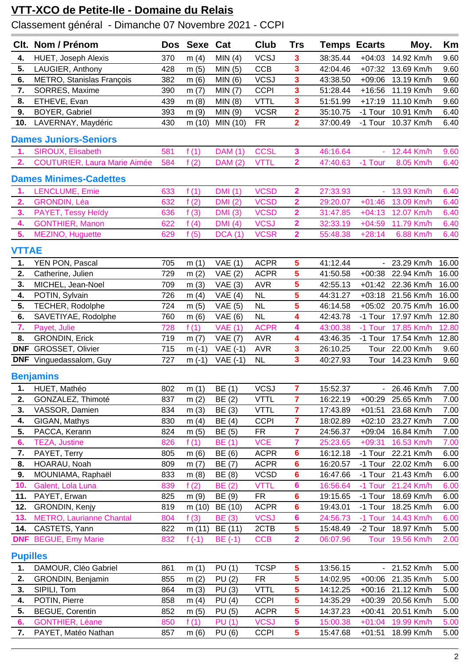## **VTT-XCO de Petite-Ile - Domaine du Relais**

Classement général - Dimanche 07 Novembre 2021 - CCPI

|                 | Clt. Nom / Prénom                   |            | Dos Sexe Cat |                | Club        | Trs                                                | <b>Temps Ecarts</b> |                | Moy.               | Km    |
|-----------------|-------------------------------------|------------|--------------|----------------|-------------|----------------------------------------------------|---------------------|----------------|--------------------|-------|
| 4.              | <b>HUET, Joseph Alexis</b>          | 370        | m(4)         | MIN(4)         | <b>VCSJ</b> | 3                                                  | 38:35.44            | $+04:03$       | 14.92 Km/h         | 9.60  |
| 5.              | LAUGIER, Anthony                    | 428        | m(5)         | MIN(5)         | <b>CCB</b>  | 3                                                  | 42:04.46            | $+07:32$       | 13.69 Km/h         | 9.60  |
| 6.              | METRO, Stanislas François           | 382        | m(6)         | MIN(6)         | <b>VCSJ</b> | 3                                                  | 43:38.50            | $+09:06$       | 13.19 Km/h         | 9.60  |
| 7.              | SORRES, Maxime                      | 390        | m(7)         | MIN(7)         | <b>CCPI</b> | 3                                                  | 51:28.44            | $+16:56$       | 11.19 Km/h         | 9.60  |
| 8.              | ETHEVE, Evan                        | 439        | m(8)         | MIN(8)         | <b>VTTL</b> | 3                                                  | 51:51.99            | $+17:19$       | 11.10 Km/h         | 9.60  |
| 9.              | BOYER, Gabriel                      | 393        | m(9)         | MIN (9)        | <b>VCSR</b> | $\overline{2}$                                     | 35:10.75            | -1 Tour        | 10.91 Km/h         | 6.40  |
| 10.             | LAVERNAY, Maydéric                  | 430        | m (10)       | MIN (10)       | <b>FR</b>   | $\overline{2}$                                     | 37:00.49            | -1 Tour        | 10.37 Km/h         | 6.40  |
|                 | <b>Dames Juniors-Seniors</b>        |            |              |                |             |                                                    |                     |                |                    |       |
|                 |                                     |            |              |                | <b>CCSL</b> |                                                    | 46:16.64            |                | 12.44 Km/h         |       |
| 1.<br>2.        | SIROUX, Elisabeth                   | 581<br>584 | f(1)         | DAM (1)        |             | $\overline{\mathbf{3}}$<br>$\overline{\mathbf{2}}$ | 47:40.63            | -1 Tour        | 8.05 Km/h          | 9.60  |
|                 | <b>COUTURIER, Laura Marie Aimée</b> |            | f(2)         | <b>DAM (2)</b> | <b>VTTL</b> |                                                    |                     |                |                    | 6.40  |
|                 | <b>Dames Minimes-Cadettes</b>       |            |              |                |             |                                                    |                     |                |                    |       |
| 1.              | LENCLUME, Emie                      | 633        | f(1)         | <b>DMI</b> (1) | <b>VCSD</b> | $\overline{\mathbf{2}}$                            | 27:33.93            |                | 13.93 Km/h         | 6.40  |
| 2.              | <b>GRONDIN, Léa</b>                 | 632        | f(2)         | <b>DMI</b> (2) | <b>VCSD</b> | $\overline{\mathbf{2}}$                            | 29:20.07            | $+01:46$       | 13.09 Km/h         | 6.40  |
| 3.              | PAYET, Tessy Heïdy                  | 636        | f(3)         | DMI(3)         | <b>VCSD</b> | $\overline{2}$                                     | 31:47.85            | $+04:13$       | 12.07 Km/h         | 6.40  |
| 4.              | <b>GONTHIER, Manon</b>              | 622        | f(4)         | DMI(4)         | <b>VCSJ</b> | $\overline{\mathbf{2}}$                            | 32:33.19            | $+04:59$       | 11.79 Km/h         | 6.40  |
| 5.              | MEZINO, Huguette                    | 629        | f(5)         | DCA(1)         | <b>VCSR</b> | $\overline{2}$                                     | 55:48.38            | $+28:14$       | 6.88 Km/h          | 6.40  |
| <b>VTTAE</b>    |                                     |            |              |                |             |                                                    |                     |                |                    |       |
| 1.              | YEN PON, Pascal                     | 705        | m(1)         | VAE(1)         | <b>ACPR</b> | 5                                                  | 41:12.44            | $\blacksquare$ | 23.29 Km/h         | 16.00 |
| 2.              | Catherine, Julien                   | 729        | m(2)         | VAE(2)         | <b>ACPR</b> | 5                                                  | 41:50.58            | $+00:38$       | 22.94 Km/h         | 16.00 |
| 3.              | MICHEL, Jean-Noel                   | 709        | m(3)         | VAE(3)         | <b>AVR</b>  | 5                                                  | 42:55.13            | $+01:42$       | 22.36 Km/h         | 16.00 |
| 4.              | POTIN, Sylvain                      | 726        | m(4)         | VAE(4)         | <b>NL</b>   | 5                                                  | 44:31.27            | $+03:18$       | 21.56 Km/h         | 16.00 |
| 5.              | TECHER, Rodolphe                    | 724        | m(5)         | VAE(5)         | <b>NL</b>   | 5                                                  | 46:14.58            | $+05:02$       | 20.75 Km/h         | 16.00 |
| 6.              | SAVETIYAE, Rodolphe                 | 760        | m(6)         | VAE(6)         | <b>NL</b>   | 4                                                  | 42:43.78            | -1 Tour        | 17.97 Km/h         | 12.80 |
| 7.              | Payet, Julie                        | 728        | f(1)         | <b>VAE (1)</b> | <b>ACPR</b> | 4                                                  | 43:00.38            | -1 Tour        | 17.85 Km/h         | 12.80 |
| 8.              | <b>GRONDIN, Erick</b>               | 719        | m(7)         | <b>VAE (7)</b> | <b>AVR</b>  | 4                                                  | 43:46.35            | -1 Tour        | 17.54 Km/h         | 12.80 |
| <b>DNF</b>      | GROSSET, Olivier                    | 715        | $m(-1)$      | $VAE(-1)$      | <b>AVR</b>  | 3                                                  | 26:10.25            | Tour           | 22.00 Km/h         | 9.60  |
| <b>DNF</b>      | Vinguedassalom, Guy                 | 727        | $m(-1)$      | $VAE(-1)$      | <b>NL</b>   | 3                                                  | 40:27.93            | Tour           | 14.23 Km/h         | 9.60  |
|                 | <b>Benjamins</b>                    |            |              |                |             |                                                    |                     |                |                    |       |
|                 | 1. HUET, Mathéo                     | 802        | m(1)         | BE (1)         | <b>VCSJ</b> | $\overline{7}$                                     | 15:52.37            |                | - 26.46 Km/h       | 7.00  |
| 2.              | GONZALEZ, Thimoté                   | 837        | m(2)         | BE(2)          | <b>VTTL</b> | $\overline{7}$                                     | 16:22.19            | $+00:29$       | 25.65 Km/h         | 7.00  |
| 3.              | VASSOR, Damien                      | 834        | m(3)         | BE (3)         | <b>VTTL</b> | $\overline{7}$                                     | 17:43.89            | $+01:51$       | 23.68 Km/h         | 7.00  |
| 4.              | GIGAN, Mathys                       | 830        | m(4)         | BE (4)         | <b>CCPI</b> | $\overline{7}$                                     | 18:02.89            | $+02:10$       | 23.27 Km/h         | 7.00  |
| 5.              | PACCA, Kerann                       | 824        | m(5)         | BE (5)         | <b>FR</b>   | $\overline{7}$                                     | 24:56.37            | $+09:04$       | 16.84 Km/h         | 7.00  |
| 6.              | <b>TEZA, Justine</b>                | 826        | f(1)         | BE (1)         | <b>VCE</b>  | 7                                                  | 25:23.65            | $+09:31$       | 16.53 Km/h         | 7.00  |
| 7.              | PAYET, Terry                        | 805        | m(6)         | BE (6)         | <b>ACPR</b> | 6                                                  | 16:12.18            |                | -1 Tour 22.21 Km/h | 6.00  |
| 8.              | HOARAU, Noah                        | 809        | m $(7)$      | BE (7)         | <b>ACPR</b> | 6                                                  | 16:20.57            |                | -1 Tour 22.02 Km/h | 6.00  |
| 9.              | MOUNIAMA, Raphaël                   | 833        | m(8)         | BE (8)         | <b>VCSD</b> | $6\phantom{a}$                                     | 16:47.66            |                | -1 Tour 21.43 Km/h | 6.00  |
| 10.             | Galent, Lola Luna                   | 839        | f(2)         | BE (2)         | <b>VTTL</b> | 6                                                  | 16:56.64            | -1 Tour        | 21.24 Km/h         | 6.00  |
| 11.             | PAYET, Erwan                        | 825        | m(9)         | BE (9)         | <b>FR</b>   | 6                                                  | 19:15.65            | -1 Tour        | 18.69 Km/h         | 6.00  |
| 12.             | <b>GRONDIN, Kenjy</b>               | 819        | m (10)       | BE (10)        | <b>ACPR</b> | 6                                                  | 19:43.01            | -1 Tour        | 18.25 Km/h         | 6.00  |
| 13.             | <b>METRO, Laurianne Chantal</b>     | 804        | f(3)         | BE (3)         | <b>VCSJ</b> | 6                                                  | 24:56.73            | -1 Tour        | 14.43 Km/h         | 6.00  |
| 14.             | CASTETS, Yann                       | 822        | m(11)        | BE (11)        | 2CTB        | 5                                                  | 15:48.49            | -2 Tour        | 18.97 Km/h         | 5.00  |
| <b>DNF</b>      | <b>BEGUE, Emy Marie</b>             | 832        | f $(-1)$     | $BE(-1)$       | <b>CCB</b>  | $\overline{\mathbf{2}}$                            | 06:07.96            | Tour           | 19.56 Km/h         | 2.00  |
| <b>Pupilles</b> |                                     |            |              |                |             |                                                    |                     |                |                    |       |
| 1.              | DAMOUR, Cléo Gabriel                | 861        | m(1)         | PU(1)          | <b>TCSP</b> | 5                                                  | 13:56.15            |                | - 21.52 Km/h       | 5.00  |
| 2.              | GRONDIN, Benjamin                   | 855        | m(2)         | PU(2)          | <b>FR</b>   | $\overline{\mathbf{5}}$                            | 14:02.95            | $+00:06$       | 21.35 Km/h         | 5.00  |
| 3.              | SIPILI, Tom                         | 864        | m(3)         | PU (3)         | <b>VTTL</b> | 5                                                  | 14:12.25            | $+00:16$       | 21.12 Km/h         | 5.00  |
| 4.              | POTIN, Pierre                       | 858        | m(4)         | PU(4)          | <b>CCPI</b> | 5                                                  | 14:35.29            | $+00:39$       | 20.56 Km/h         | 5.00  |
| 5.              | <b>BEGUE, Corentin</b>              | 852        | m(5)         | <b>PU</b> (5)  | <b>ACPR</b> | $\overline{\mathbf{5}}$                            | 14:37.23            | $+00:41$       | 20.51 Km/h         | 5.00  |
| 6.              | <b>GONTHIER, Léane</b>              | 850        | f(1)         | <b>PU (1)</b>  | <b>VCSJ</b> | 5                                                  | 15:00.38            | $+01:04$       | 19.99 Km/h         | 5.00  |
| 7.              | PAYET, Matéo Nathan                 | 857        | m(6)         | <b>PU</b> (6)  | <b>CCPI</b> | 5                                                  | 15:47.68            | $+01:51$       | 18.99 Km/h         | 5.00  |